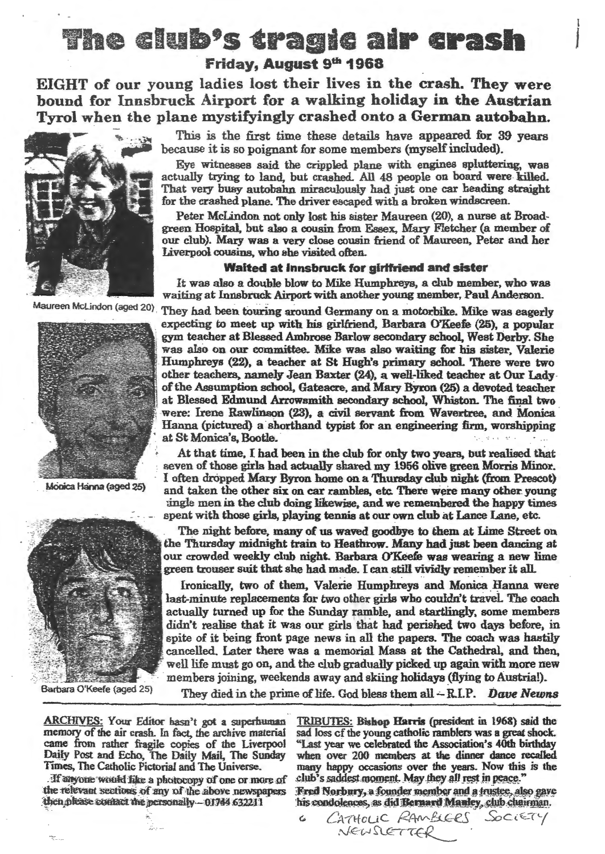### The club's tragic air crash Friday, August 9th 1968

EIGHT of our young ladies lost their lives in the crash. They were bound for Innsbruck Airport for a walking holiday in the Austrian Tyrol when the plane mystifyingly crashed onto a German autobahn.





Monica Hanna (aged 25)



This is the first time these details have appeared for 39 years because it is so poignant for some members (myself included).

Eye witnesses said the crippled plane with engines spluttering, was actually trying to land, but crashed. All 48 people on board were killed. That very busy autobahn miraculously had just one car heading straight for the crashed plane. The driver escaped with a broken windscreen.

Peter McLindon not only lost his sister Maureen (20), a nurse at Broadgreen Hospital, but also a cousin from Essex, Mary Fletcher (a member of our club). Mary was a very close cousin friend of Maureen, Peter and her Liverpool cousins, who she visited often.

#### Waited at Innsbruck for girlfriend and sister

It was also a double blow to Mike Humphreys, a club member, who was waiting at Innsbruck Airport with another young member, Paul Anderson.

Maureen McLindon (aged 20). They had been touring around Germany on a motorbike. Mike was eagerly expecting to meet up with his girlfriend, Barbara O'Keefe (25), a popular gym teacher at Blessed Ambrose Barlow secondary school, West Derby. She was also on our committee. Mike was also waiting for his sister, Valerie -Humphreys (22), a teacher at St Hugh's primary school There were two other teachers, namely Jean Baxter (24), a well-liked teacher at Our Ladyof the Assumption school, Gateacre, and Mary Byron (25) a devoted teacher at Blessed Edmund Arrowsmith secondary school, Whiston. The final two were: Irene Rawlinson (23). a civil servant from Wavertree, and Monica Hanna (pictured) a shorthand typist for an engineering firm, worshipping at St Monica's, Bootle.

> At that time. I had been in the club for only two years, but realised that seven of those girls had actually shared my 1956 olive green Morris Minor.<br>I often dropped Mary Byron home on a Thursday club night (from Prescot) and taken the other six on car rambles, etc. There were many other young ingle men in the club doing likewise, and we remembered the happy times spent with those girls, playing tennis at our own club at Lance Lane, etc.

> The night before, many of us waved goodbye to them at Lime Street on the Thursday midnight train to Heathrow. Many had just been dancing at our crowded weekly club night.. Barbara CYKeefe was wearing a new lime green trouser suit that she had made. I can still vividly remember it all.

> Ironically, two of them, Valerie Humphreys and Monica Hanna were last-minute replacements for two other girls who couldn't travel. The coach actually turned up for the Sunday ramble, and startlingly, some members didn't realise that it was our girls that had perished two days before, in spite of it being front page news in all the papers. The coach was hastily cancelled. Later there was a memorial Mass at the Cathedral, and then, well life must go on, and the club gradually picked up again with more new members joining, weekends away and skiing holidays (flying to Austria!).

Barbara O'Keefe (aged 25) They died in the prime of life. God bless them all - R.I.P. Dave *Newns* 

ARCHIVES: Your Editor hasn"t got a superhuman memory of the air crash. In fact, the archive material came from rather fragile copies of the Liverpool Daily Post and Echo, The Daily Mail, The Sunday Times, The Catholic Pictorial and 1be Universe.

If anyone would fike a photocopy of one or more of the relevant sections of any of the above newspapers then please comact the personally -- 01744 632211

TRIBUTES: Bishop Harris (president in 1968) said the sad loss of the young catholic ramblers was a great shock. "Last year we celebrated the Association's 40th birthday when over 200 members at the dinner dance recalled many happy occasions over the years. Now this is the club's saddest moment. May they all rest in peace."<br>Fred Norbury, a founder member and a trustee, also gave

his condolences, as did Bernard Manley, club chairman.

c. *CA* 'ftf *o* u c *f2r-11V'-&Ge.-5 S?c* <sup>t</sup>~-r(./  $N$ EWSLETTER .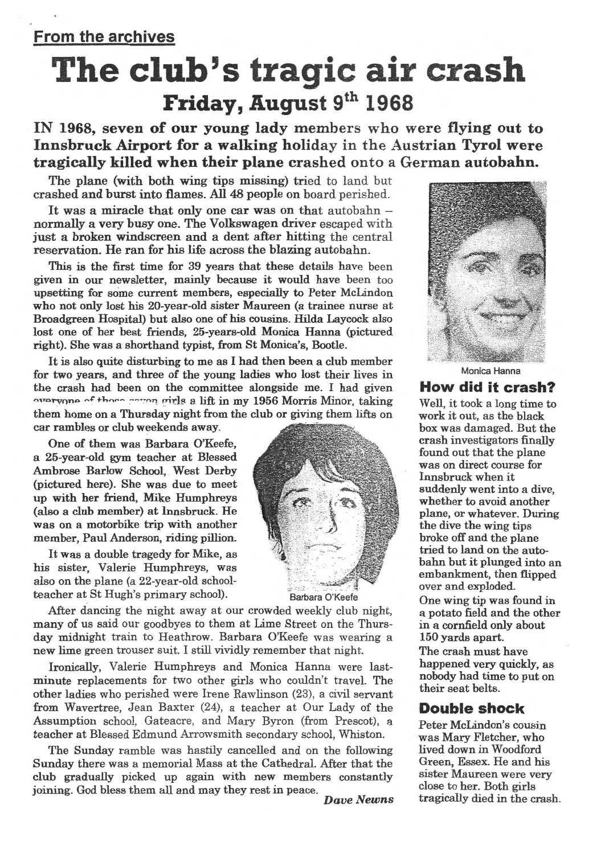# The club's tragic air crash Friday, August 9<sup>th</sup> 1968

IN 1968, seven of our young lady members who were flying out to Innsbruck Airport for a walking holiday in the Austrian Tyrol were tragically killed when their plane crashed onto a German autobahn.

The plane (with both wing tips missing) tried to land but crashed and burst into flames. All 48 people on board perished.

It was a miracle that only one car was on that autobahn  $$ normally a very busy one. The Volkswagen driver escaped with just a broken windscreen and a dent after hitting the central reservation. He ran for his life across the blazing autobahn.

This is the first time for 39 years that these details have been given in our newsletter, mainly because it would have been too upsetting for some current members, especially to Peter McLindon who not only lost his 20-year-old sister Maureen (a trainee nurse at Broadgreen Hospital) but also one of his cousins. Hilda Laycock also lost one of her best friends, 25-years-old Monica Hanna (pictured right). She was a shorthand typist, from St Monica's, Bootle.

It is also quite disturbing to me as I had then been a club member for two years, and three of the young ladies who lost their lives in the crash had been on the committee alongside me. I had given waryong of there were virle a lift in my 1956 Morris Minor, taking them home on a Thursday night from the club or giving them lifts on car rambles or club weekends away.

One of them was Barbara O'Keefe, a 25-year-old gym teacher at Blessed Ambrose Barlow School, West Derby (pictured here). She was due to meet up with her friend, Mike Humphreys (also a club member) at Innsbruck. He was on a motorbike trip with another member, Paul Anderson, riding pillion.

It was a double tragedy for Mike, as his sister, Valerie Humphreys, was also on the plane (a 22-year-old schoolteacher at St Hugh's primary school). Barbara O'Keefe



After dancing the night away at our crowded weekly club night, many of us said our goodbyes to them at Lime Street on the Thursday midnight train to Heathrow. Barbara O'Keefe was wearing a new lime green trouser suit. I still vividly remember that night.

Ironically, Valerie Humphreys and Monica Hanna were lastminute replacements for two other girls who couldn't travel. The other ladies who perished were Irene Rawlinson (23), a civil servant from Wavertree, Jean Baxter (24), a teacher at Our Lady of the Assumption school, Gateacre, and Mary Byron (from Prescot), a teacher at Blessed Edmund Arrowsmith secondary school, Whiston.

The Sunday ramble was hastily cancelled and on the following Sunday there was a memorial Mass at the Cathedral. After that the club gradually picked up again with new members constantly joining. God bless them all and may they rest in peace. *Dave Newns* 



Monica Hanna

#### How did it crash?

Well, it took a long time to work it out, as the black box was damaged. But the crash investigators finally found out that the plane was on direct course for Innsbruck when it suddenly went into a dive, whether to avoid another plane, or whatever. During the dive the wing tips broke off and the plane tried to land on the autobahn but it plunged into an embankment, then flipped over and exploded.

One wing tip was found in a potato field and the other in a cornfield only about 150 yards apart.

The crash must have happened very quickly, as nobody had time to put on their seat belts.

#### Double shock

Peter McLindon's cousin was Mary Fletcher, who lived down in Woodford Green, Essex. He and his sister Maureen were very close to her. Both girls tragically died in the crash.